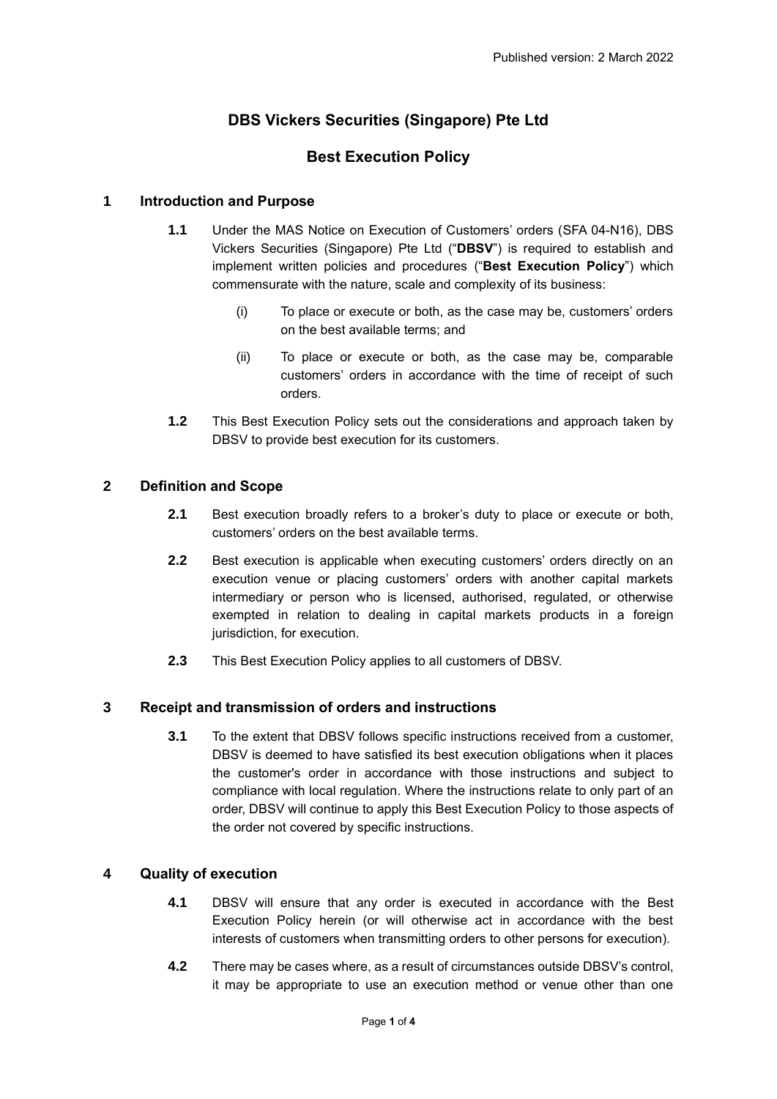# **DBS Vickers Securities (Singapore) Pte Ltd**

## **Best Execution Policy**

### **1 Introduction and Purpose**

- **1.1** Under the MAS Notice on Execution of Customers' orders (SFA 04-N16), DBS Vickers Securities (Singapore) Pte Ltd ("**DBSV**") is required to establish and implement written policies and procedures ("**Best Execution Policy**") which commensurate with the nature, scale and complexity of its business:
	- (i) To place or execute or both, as the case may be, customers' orders on the best available terms; and
	- (ii) To place or execute or both, as the case may be, comparable customers' orders in accordance with the time of receipt of such orders.
- **1.2** This Best Execution Policy sets out the considerations and approach taken by DBSV to provide best execution for its customers.

#### **2 Definition and Scope**

- **2.1** Best execution broadly refers to a broker's duty to place or execute or both, customers' orders on the best available terms.
- **2.2** Best execution is applicable when executing customers' orders directly on an execution venue or placing customers' orders with another capital markets intermediary or person who is licensed, authorised, regulated, or otherwise exempted in relation to dealing in capital markets products in a foreign jurisdiction, for execution.
- **2.3** This Best Execution Policy applies to all customers of DBSV.

## **3 Receipt and transmission of orders and instructions**

**3.1** To the extent that DBSV follows specific instructions received from a customer, DBSV is deemed to have satisfied its best execution obligations when it places the customer's order in accordance with those instructions and subject to compliance with local regulation. Where the instructions relate to only part of an order, DBSV will continue to apply this Best Execution Policy to those aspects of the order not covered by specific instructions.

#### **4 Quality of execution**

- **4.1** DBSV will ensure that any order is executed in accordance with the Best Execution Policy herein (or will otherwise act in accordance with the best interests of customers when transmitting orders to other persons for execution).
- **4.2** There may be cases where, as a result of circumstances outside DBSV's control, it may be appropriate to use an execution method or venue other than one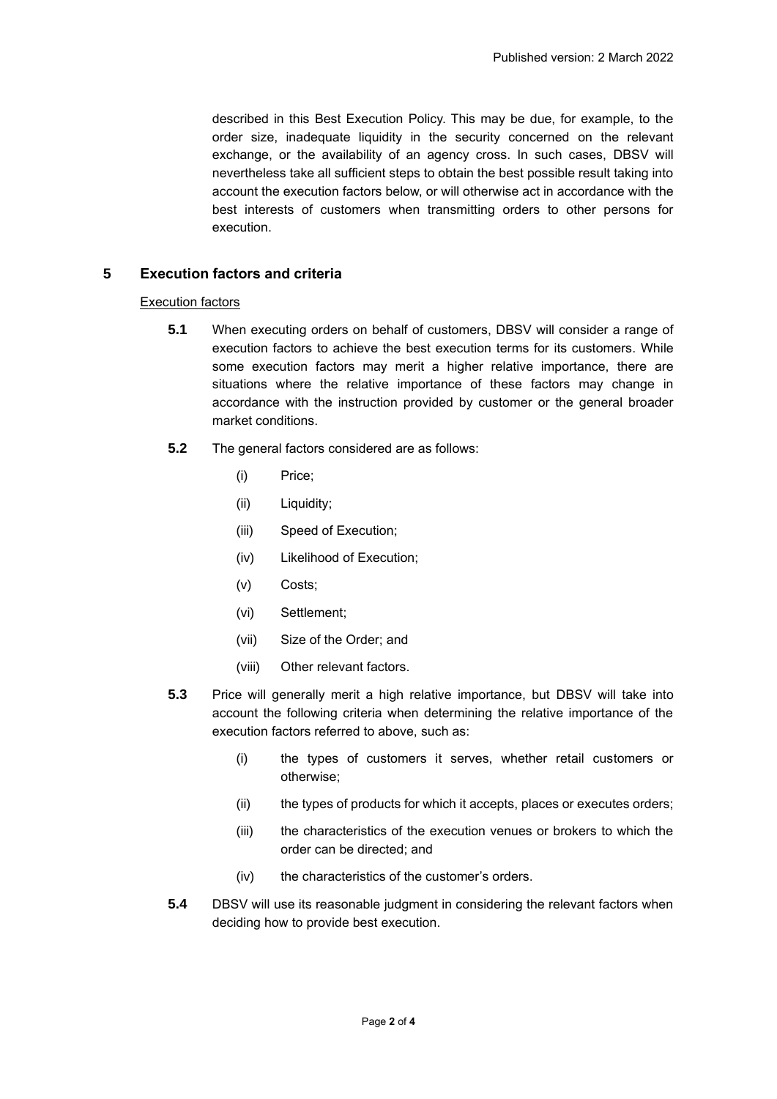described in this Best Execution Policy. This may be due, for example, to the order size, inadequate liquidity in the security concerned on the relevant exchange, or the availability of an agency cross. In such cases, DBSV will nevertheless take all sufficient steps to obtain the best possible result taking into account the execution factors below, or will otherwise act in accordance with the best interests of customers when transmitting orders to other persons for execution.

#### **5 Execution factors and criteria**

#### Execution factors

- **5.1** When executing orders on behalf of customers, DBSV will consider a range of execution factors to achieve the best execution terms for its customers. While some execution factors may merit a higher relative importance, there are situations where the relative importance of these factors may change in accordance with the instruction provided by customer or the general broader market conditions.
- **5.2** The general factors considered are as follows:
	- (i) Price;
	- (ii) Liquidity;
	- (iii) Speed of Execution;
	- (iv) Likelihood of Execution;
	- (v) Costs;
	- (vi) Settlement;
	- (vii) Size of the Order; and
	- (viii) Other relevant factors.
- **5.3** Price will generally merit a high relative importance, but DBSV will take into account the following criteria when determining the relative importance of the execution factors referred to above, such as:
	- (i) the types of customers it serves, whether retail customers or otherwise;
	- (ii) the types of products for which it accepts, places or executes orders;
	- (iii) the characteristics of the execution venues or brokers to which the order can be directed; and
	- (iv) the characteristics of the customer's orders.
- **5.4** DBSV will use its reasonable judgment in considering the relevant factors when deciding how to provide best execution.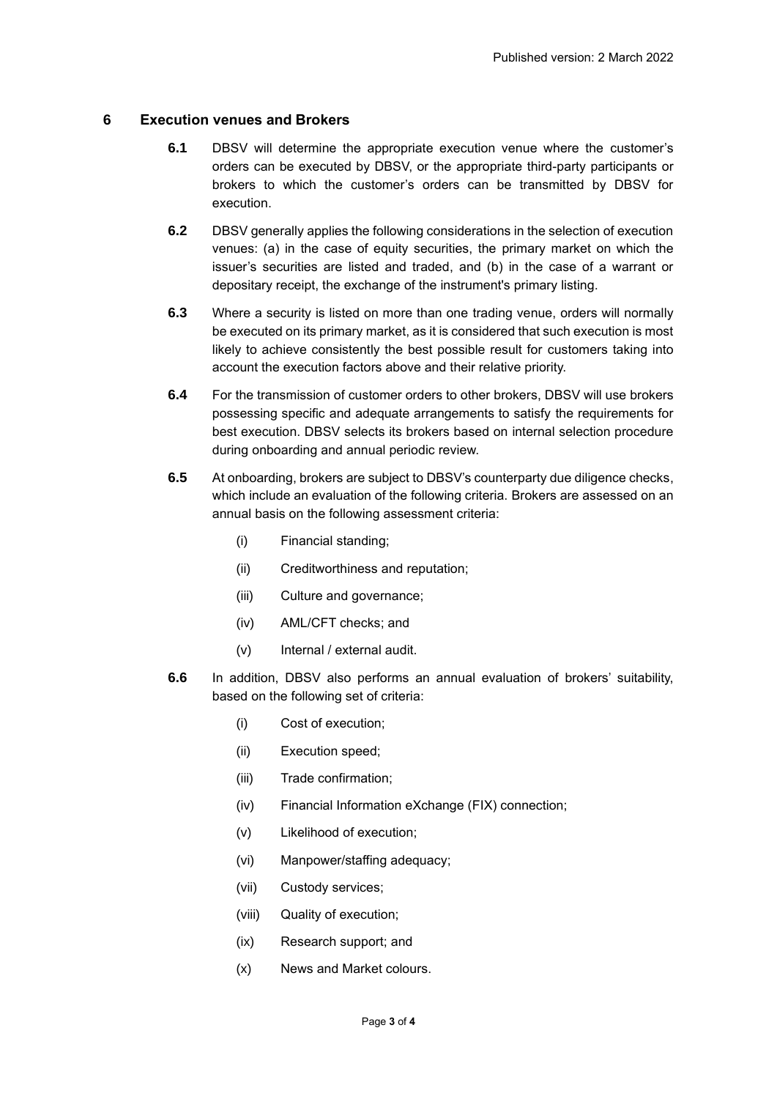## **6 Execution venues and Brokers**

- **6.1** DBSV will determine the appropriate execution venue where the customer's orders can be executed by DBSV, or the appropriate third-party participants or brokers to which the customer's orders can be transmitted by DBSV for execution.
- **6.2** DBSV generally applies the following considerations in the selection of execution venues: (a) in the case of equity securities, the primary market on which the issuer's securities are listed and traded, and (b) in the case of a warrant or depositary receipt, the exchange of the instrument's primary listing.
- **6.3** Where a security is listed on more than one trading venue, orders will normally be executed on its primary market, as it is considered that such execution is most likely to achieve consistently the best possible result for customers taking into account the execution factors above and their relative priority.
- **6.4** For the transmission of customer orders to other brokers, DBSV will use brokers possessing specific and adequate arrangements to satisfy the requirements for best execution. DBSV selects its brokers based on internal selection procedure during onboarding and annual periodic review.
- **6.5** At onboarding, brokers are subject to DBSV's counterparty due diligence checks, which include an evaluation of the following criteria. Brokers are assessed on an annual basis on the following assessment criteria:
	- (i) Financial standing;
	- (ii) Creditworthiness and reputation;
	- (iii) Culture and governance;
	- (iv) AML/CFT checks; and
	- (v) Internal / external audit.
- **6.6** In addition, DBSV also performs an annual evaluation of brokers' suitability, based on the following set of criteria:
	- (i) Cost of execution;
	- (ii) Execution speed;
	- (iii) Trade confirmation;
	- (iv) Financial Information eXchange (FIX) connection;
	- (v) Likelihood of execution;
	- (vi) Manpower/staffing adequacy;
	- (vii) Custody services;
	- (viii) Quality of execution;
	- (ix) Research support; and
	- (x) News and Market colours.